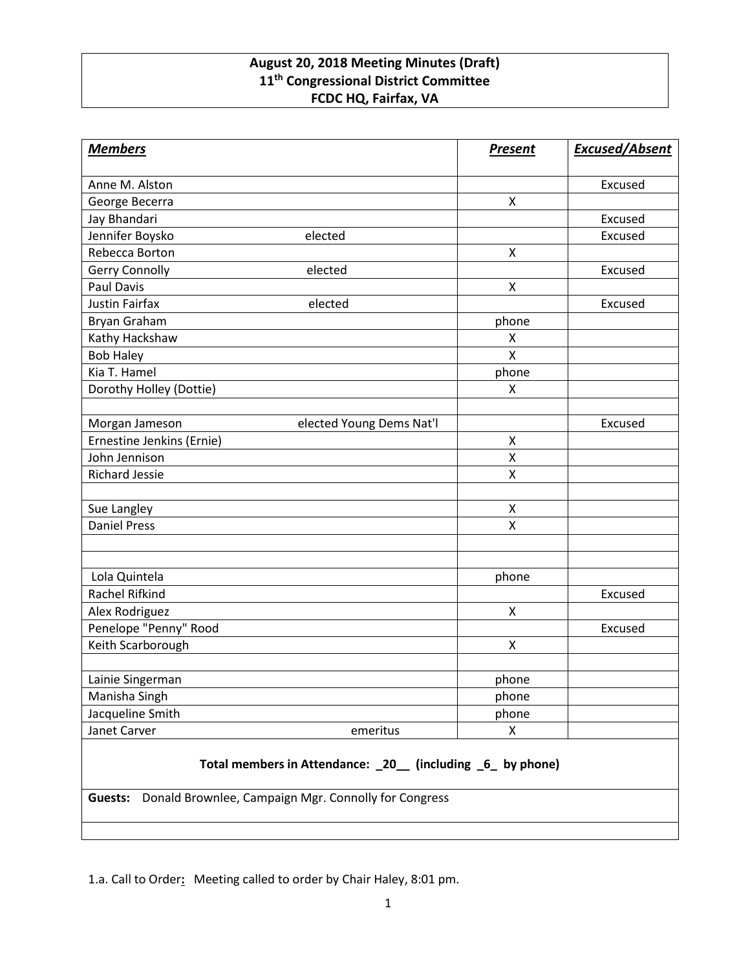## **August 20, 2018 Meeting Minutes (Draft) 11th Congressional District Committee FCDC HQ, Fairfax, VA**

| <b>Members</b>                                             |                          | <b>Present</b> | <b>Excused/Absent</b> |
|------------------------------------------------------------|--------------------------|----------------|-----------------------|
| Anne M. Alston                                             |                          |                | Excused               |
| George Becerra                                             |                          | X              |                       |
| Jay Bhandari                                               |                          |                | Excused               |
| Jennifer Boysko                                            | elected                  |                | Excused               |
| Rebecca Borton                                             |                          | X              |                       |
| Gerry Connolly                                             | elected                  |                | Excused               |
| <b>Paul Davis</b>                                          |                          | $\mathsf{X}$   |                       |
| <b>Justin Fairfax</b>                                      | elected                  |                | Excused               |
| Bryan Graham                                               |                          | phone          |                       |
| Kathy Hackshaw                                             |                          | X              |                       |
| <b>Bob Haley</b>                                           |                          | X              |                       |
| Kia T. Hamel                                               |                          | phone          |                       |
| Dorothy Holley (Dottie)                                    |                          | X              |                       |
|                                                            |                          |                |                       |
| Morgan Jameson                                             | elected Young Dems Nat'l |                | Excused               |
| Ernestine Jenkins (Ernie)                                  |                          | $\pmb{\times}$ |                       |
| John Jennison                                              |                          | Χ              |                       |
| <b>Richard Jessie</b>                                      |                          | X              |                       |
|                                                            |                          |                |                       |
| Sue Langley                                                |                          | X              |                       |
| <b>Daniel Press</b>                                        |                          | X              |                       |
|                                                            |                          |                |                       |
|                                                            |                          |                |                       |
| Lola Quintela                                              |                          | phone          |                       |
| Rachel Rifkind                                             |                          |                | Excused               |
| Alex Rodriguez                                             |                          | X              |                       |
| Penelope "Penny" Rood                                      |                          |                | Excused               |
| Keith Scarborough                                          |                          | $\pmb{\times}$ |                       |
|                                                            |                          |                |                       |
| Lainie Singerman                                           |                          | phone          |                       |
| Manisha Singh                                              |                          | phone          |                       |
| Jacqueline Smith                                           |                          | phone          |                       |
| Janet Carver                                               | emeritus                 | X              |                       |
| Total members in Attendance: _20_ (including _6_ by phone) |                          |                |                       |

**Guests:** Donald Brownlee, Campaign Mgr. Connolly for Congress

1.a. Call to Order**:** Meeting called to order by Chair Haley, 8:01 pm.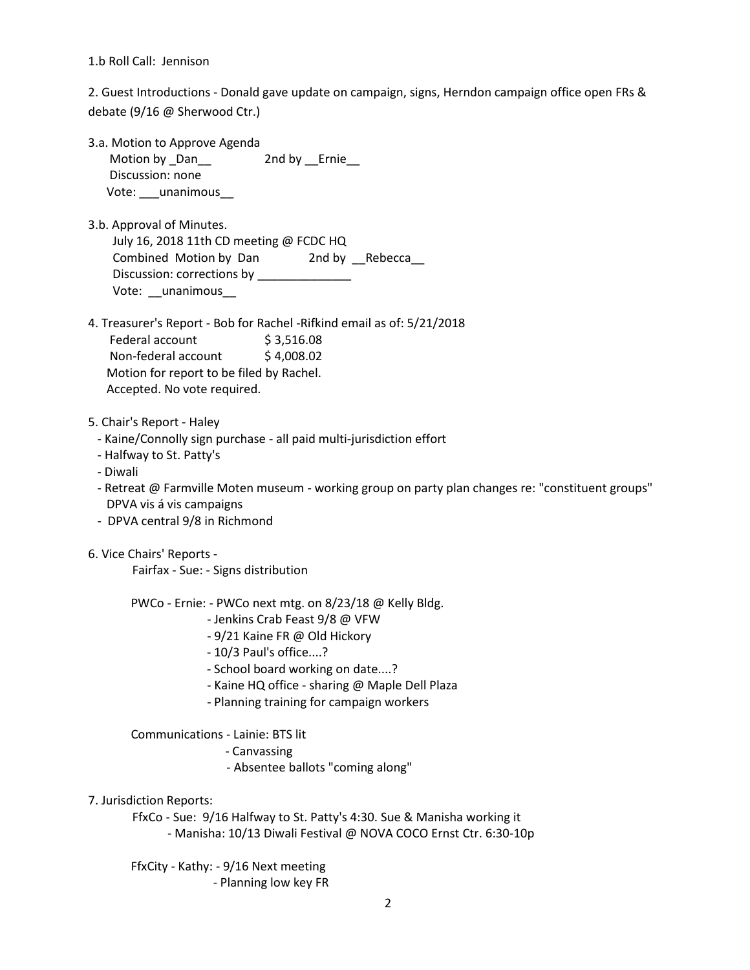1.b Roll Call: Jennison

2. Guest Introductions - Donald gave update on campaign, signs, Herndon campaign office open FRs & debate (9/16 @ Sherwood Ctr.)

- 3.a. Motion to Approve Agenda Motion by \_Dan\_\_ 2nd by \_\_Ernie\_\_ Discussion: none Vote: \_\_\_unanimous\_\_
- 3.b. Approval of Minutes. July 16, 2018 11th CD meeting @ FCDC HQ Combined Motion by Dan 2nd by Rebecca Discussion: corrections by \_\_\_\_\_\_\_\_\_\_\_\_\_ Vote: \_\_unanimous
- 4. Treasurer's Report Bob for Rachel -Rifkind email as of: 5/21/2018 Federal account \$3,516.08 Non-federal account \$4,008.02 Motion for report to be filed by Rachel. Accepted. No vote required.
- 5. Chair's Report Haley
	- Kaine/Connolly sign purchase all paid multi-jurisdiction effort
- Halfway to St. Patty's
- Diwali
- Retreat @ Farmville Moten museum working group on party plan changes re: "constituent groups" DPVA vis á vis campaigns
- DPVA central 9/8 in Richmond
- 6. Vice Chairs' Reports -

Fairfax - Sue: - Signs distribution

- PWCo Ernie: PWCo next mtg. on 8/23/18 @ Kelly Bldg.
	- Jenkins Crab Feast 9/8 @ VFW
	- 9/21 Kaine FR @ Old Hickory
	- 10/3 Paul's office....?
	- School board working on date....?
	- Kaine HQ office sharing @ Maple Dell Plaza
	- Planning training for campaign workers

Communications - Lainie: BTS lit

- Canvassing
- Absentee ballots "coming along"
- 7. Jurisdiction Reports:

FfxCo - Sue: 9/16 Halfway to St. Patty's 4:30. Sue & Manisha working it - Manisha: 10/13 Diwali Festival @ NOVA COCO Ernst Ctr. 6:30-10p

 FfxCity - Kathy: - 9/16 Next meeting - Planning low key FR